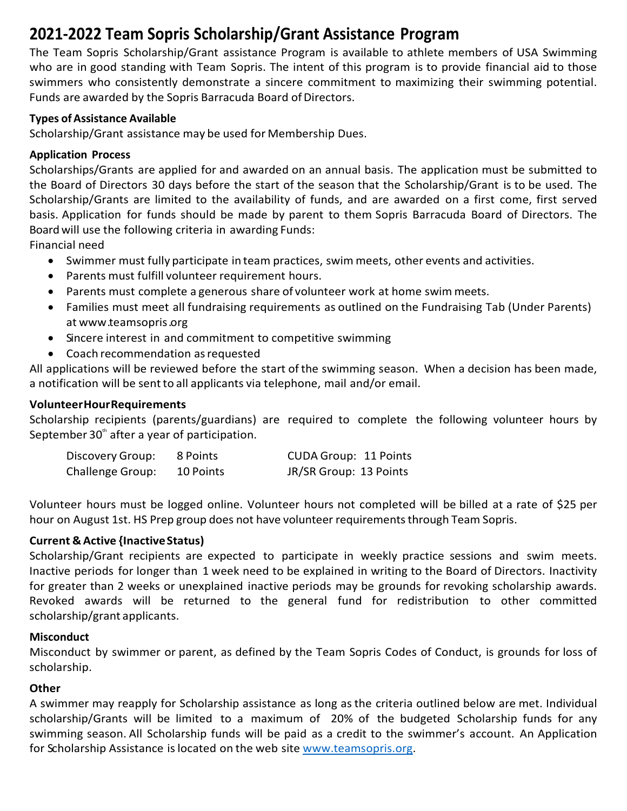# **2021-2022 Team Sopris Scholarship/Grant Assistance Program**

The Team Sopris Scholarship/Grant assistance Program is available to athlete members of USA Swimming who are in good standing with Team Sopris. The intent of this program is to provide financial aid to those swimmers who consistently demonstrate a sincere commitment to maximizing their swimming potential. Funds are awarded by the Sopris Barracuda Board of Directors.

# **Types ofAssistance Available**

Scholarship/Grant assistance may be used for Membership Dues.

# **Application Process**

Scholarships/Grants are applied for and awarded on an annual basis. The application must be submitted to the Board of Directors 30 days before the start of the season that the Scholarship/Grant is to be used. The Scholarship/Grants are limited to the availability of funds, and are awarded on a first come, first served basis. Application for funds should be made by parent to them Sopris Barracuda Board of Directors. The Board will use the following criteria in awarding Funds:

Financial need

- Swimmer must fully participate in team practices, swim meets, other events and activities.
- Parents must fulfill volunteer requirement hours.
- Parents must complete a generous share of volunteer work at home swim meets.
- Families must meet all fundraising requirements as outlined on the Fundraising Tab (Under Parents) at www.teamsopris.org
- Sincere interest in and commitment to competitive swimming
- Coach recommendation asrequested

All applications will be reviewed before the start of the swimming season. When a decision has been made, a notification will be sentto all applicants via telephone, mail and/or email.

### **VolunteerHourRequirements**

Scholarship recipients (parents/guardians) are required to complete the following volunteer hours by September  $30<sup>th</sup>$  after a year of participation.

| Discovery Group:        | 8 Points  | <b>CUDA Group: 11 Points</b> |
|-------------------------|-----------|------------------------------|
| <b>Challenge Group:</b> | 10 Points | JR/SR Group: 13 Points       |

Volunteer hours must be logged online. Volunteer hours not completed will be billed at a rate of \$25 per hour on August 1st. HS Prep group does not have volunteer requirementsthrough Team Sopris.

# **Current & Active {InactiveStatus)**

Scholarship/Grant recipients are expected to participate in weekly practice sessions and swim meets. Inactive periods for longer than 1 week need to be explained in writing to the Board of Directors. Inactivity for greater than 2 weeks or unexplained inactive periods may be grounds for revoking scholarship awards. Revoked awards will be returned to the general fund for redistribution to other committed scholarship/grant applicants.

#### **Misconduct**

Misconduct by swimmer or parent, as defined by the Team Sopris Codes of Conduct, is grounds for loss of scholarship.

#### **Other**

A swimmer may reapply for Scholarship assistance as long as the criteria outlined below are met. Individual scholarship/Grants will be limited to a maximum of 20% of the budgeted Scholarship funds for any swimming season. All Scholarship funds will be paid as a credit to the swimmer's account. An Application for Scholarship Assistance is located on the web site www.teamsopris.org.